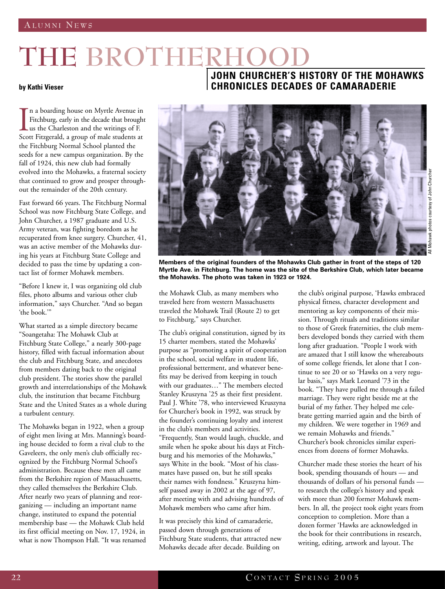## THE BROTHERHO

## **by Kathi Vieser**

Isco n a boarding house on Myrtle Avenue in Fitchburg, early in the decade that brought us the Charleston and the writings of F. Scott Fitzgerald, a group of male students at the Fitchburg Normal School planted the seeds for a new campus organization. By the fall of 1924, this new club had formally evolved into the Mohawks, a fraternal society that continued to grow and prosper throughout the remainder of the 20th century.

Fast forward 66 years. The Fitchburg Normal School was now Fitchburg State College, and John Churcher, a 1987 graduate and U.S. Army veteran, was fighting boredom as he recuperated from knee surgery. Churcher, 41, was an active member of the Mohawks during his years at Fitchburg State College and decided to pass the time by updating a contact list of former Mohawk members.

"Before I knew it, I was organizing old club files, photo albums and various other club information," says Churcher. "And so began 'the book.'"

What started as a simple directory became "Soangetaha: The Mohawk Club at Fitchburg State College," a nearly 300-page history, filled with factual information about the club and Fitchburg State, and anecdotes from members dating back to the original club president. The stories show the parallel growth and interrelationships of the Mohawk club, the institution that became Fitchburg State and the United States as a whole during a turbulent century.

The Mohawks began in 1922, when a group of eight men living at Mrs. Manning's boarding house decided to form a rival club to the Gaveleers, the only men's club officially recognized by the Fitchburg Normal School's administration. Because these men all came from the Berkshire region of Massachusetts, they called themselves the Berkshire Club. After nearly two years of planning and reorganizing — including an important name change, instituted to expand the potential membership base — the Mohawk Club held its first official meeting on Nov. 17, 1924, in what is now Thompson Hall. "It was renamed

## **JOHN CHURCHER'S HISTORY OF THE MOHAWKS CHRONICLES DECADES OF CAMARADERIE**



**Members of the original founders of the Mohawks Club gather in front of the steps of 120 Myrtle Ave. in Fitchburg. The home was the site of the Berkshire Club, which later became the Mohawks. The photo was taken in 1923 or 1924.**

the Mohawk Club, as many members who traveled here from western Massachusetts traveled the Mohawk Trail (Route 2) to get to Fitchburg," says Churcher.

The club's original constitution, signed by its 15 charter members, stated the Mohawks' purpose as "promoting a spirit of cooperation in the school, social welfare in student life, professional betterment, and whatever benefits may be derived from keeping in touch with our graduates…" The members elected Stanley Kruszyna '25 as their first president. Paul J. White '78, who interviewed Kruszyna for Churcher's book in 1992, was struck by the founder's continuing loyalty and interest in the club's members and activities. "Frequently, Stan would laugh, chuckle, and smile when he spoke about his days at Fitchburg and his memories of the Mohawks," says White in the book. "Most of his classmates have passed on, but he still speaks their names with fondness." Kruszyna himself passed away in 2002 at the age of 97, after meeting with and advising hundreds of Mohawk members who came after him.

It was precisely this kind of camaraderie, passed down through generations of Fitchburg State students, that attracted new Mohawks decade after decade. Building on

the club's original purpose, 'Hawks embraced physical fitness, character development and mentoring as key components of their mission. Through rituals and traditions similar to those of Greek fraternities, the club members developed bonds they carried with them long after graduation. "People I work with are amazed that I still know the whereabouts of some college friends, let alone that I continue to see 20 or so 'Hawks on a very regular basis," says Mark Leonard '73 in the book. "They have pulled me through a failed marriage. They were right beside me at the burial of my father. They helped me celebrate getting married again and the birth of my children. We were together in 1969 and we remain Mohawks and friends." Churcher's book chronicles similar experiences from dozens of former Mohawks.

Churcher made these stories the heart of his book, spending thousands of hours — and thousands of dollars of his personal funds to research the college's history and speak with more than 200 former Mohawk members. In all, the project took eight years from conception to completion. More than a dozen former 'Hawks are acknowledged in the book for their contributions in research, writing, editing, artwork and layout. The